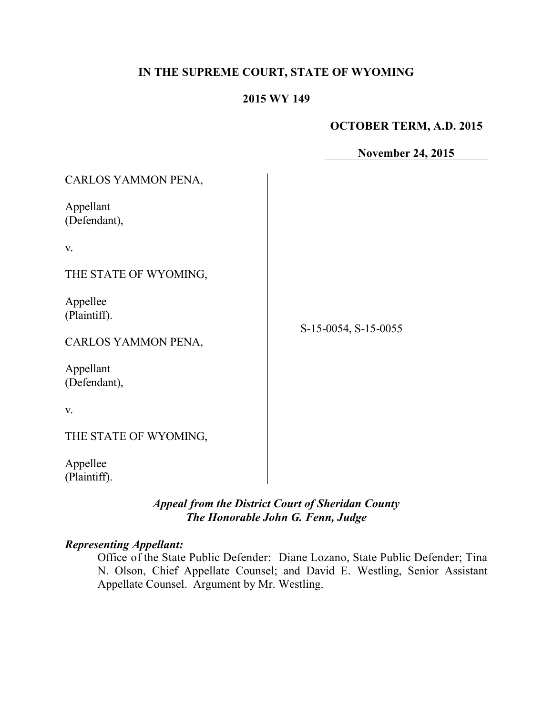## **IN THE SUPREME COURT, STATE OF WYOMING**

### **2015 WY 149**

### **OCTOBER TERM, A.D. 2015**

**November 24, 2015**

| CARLOS YAMMON PENA,                                                          |                      |
|------------------------------------------------------------------------------|----------------------|
| Appellant<br>(Defendant),                                                    |                      |
| V.                                                                           |                      |
| THE STATE OF WYOMING,                                                        |                      |
| Appellee<br>(Plaintiff).<br>CARLOS YAMMON PENA,<br>Appellant<br>(Defendant), | S-15-0054, S-15-0055 |
| V.                                                                           |                      |
| THE STATE OF WYOMING,                                                        |                      |
| Appellee<br>(Plaintiff).                                                     |                      |

# *Appeal from the District Court of Sheridan County The Honorable John G. Fenn, Judge*

#### *Representing Appellant:*

Office of the State Public Defender: Diane Lozano, State Public Defender; Tina N. Olson, Chief Appellate Counsel; and David E. Westling, Senior Assistant Appellate Counsel. Argument by Mr. Westling.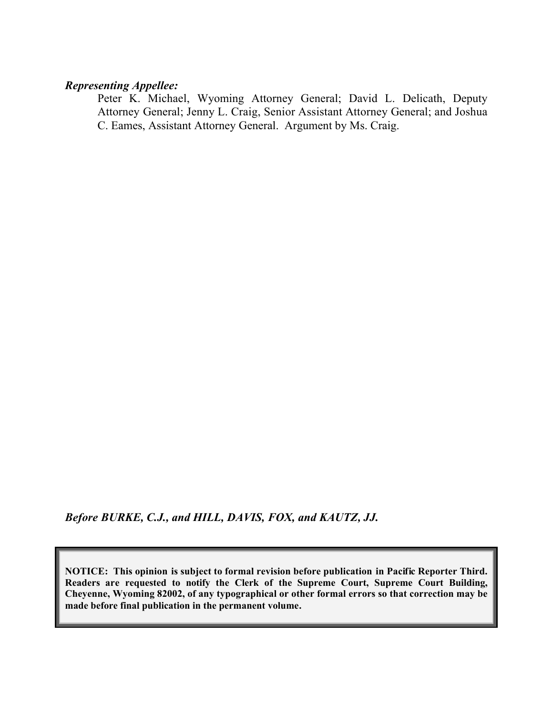## *Representing Appellee:*

Peter K. Michael, Wyoming Attorney General; David L. Delicath, Deputy Attorney General; Jenny L. Craig, Senior Assistant Attorney General; and Joshua C. Eames, Assistant Attorney General. Argument by Ms. Craig.

*Before BURKE, C.J., and HILL, DAVIS, FOX, and KAUTZ, JJ.*

**NOTICE: This opinion is subject to formal revision before publication in Pacific Reporter Third. Readers are requested to notify the Clerk of the Supreme Court, Supreme Court Building, Cheyenne, Wyoming 82002, of any typographical or other formal errors so that correction may be made before final publication in the permanent volume.**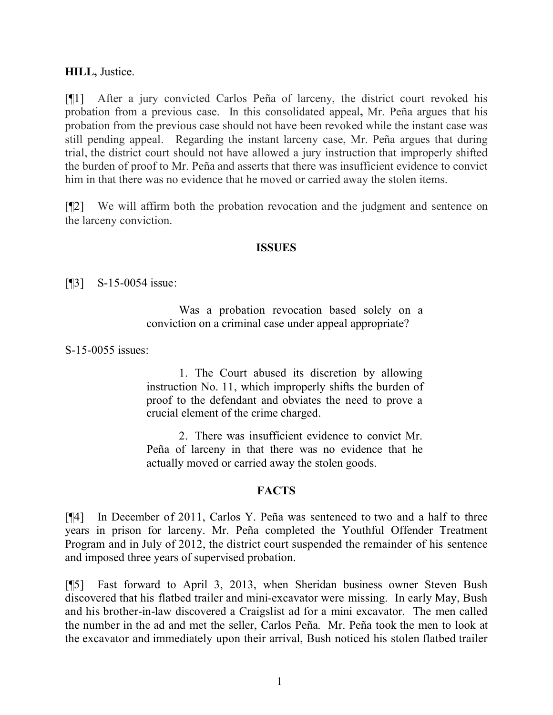### **HILL,** Justice.

[¶1] After a jury convicted Carlos Peña of larceny, the district court revoked his probation from a previous case. In this consolidated appeal**,** Mr. Peña argues that his probation from the previous case should not have been revoked while the instant case was still pending appeal.Regarding the instant larceny case, Mr. Peña argues that during trial, the district court should not have allowed a jury instruction that improperly shifted the burden of proof to Mr. Peña and asserts that there was insufficient evidence to convict him in that there was no evidence that he moved or carried away the stolen items.

[¶2] We will affirm both the probation revocation and the judgment and sentence on the larceny conviction.

#### **ISSUES**

[**[3]** S-15-0054 issue:

Was a probation revocation based solely on a conviction on a criminal case under appeal appropriate?

S-15-0055 issues:

1. The Court abused its discretion by allowing instruction No. 11, which improperly shifts the burden of proof to the defendant and obviates the need to prove a crucial element of the crime charged.

2. There was insufficient evidence to convict Mr. Peña of larceny in that there was no evidence that he actually moved or carried away the stolen goods.

#### **FACTS**

[¶4] In December of 2011, Carlos Y. Peña was sentenced to two and a half to three years in prison for larceny. Mr. Peña completed the Youthful Offender Treatment Program and in July of 2012, the district court suspended the remainder of his sentence and imposed three years of supervised probation.

[¶5] Fast forward to April 3, 2013, when Sheridan business owner Steven Bush discovered that his flatbed trailer and mini-excavator were missing. In early May, Bush and his brother-in-law discovered a Craigslist ad for a mini excavator. The men called the number in the ad and met the seller, Carlos Peña. Mr. Peña took the men to look at the excavator and immediately upon their arrival, Bush noticed his stolen flatbed trailer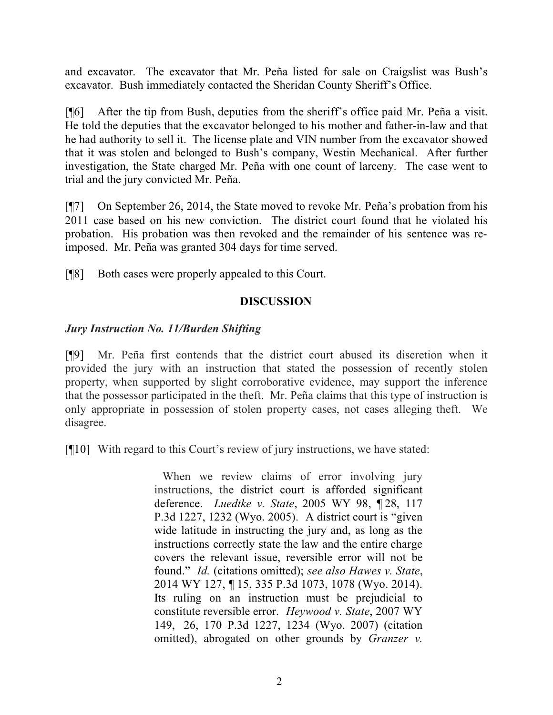and excavator. The excavator that Mr. Peña listed for sale on Craigslist was Bush's excavator. Bush immediately contacted the Sheridan County Sheriff's Office.

[¶6] After the tip from Bush, deputies from the sheriff's office paid Mr. Peña a visit. He told the deputies that the excavator belonged to his mother and father-in-law and that he had authority to sell it. The license plate and VIN number from the excavator showed that it was stolen and belonged to Bush's company, Westin Mechanical. After further investigation, the State charged Mr. Peña with one count of larceny. The case went to trial and the jury convicted Mr. Peña.

[¶7] On September 26, 2014, the State moved to revoke Mr. Peña's probation from his 2011 case based on his new conviction. The district court found that he violated his probation. His probation was then revoked and the remainder of his sentence was reimposed. Mr. Peña was granted 304 days for time served.

[¶8] Both cases were properly appealed to this Court.

# **DISCUSSION**

## *Jury Instruction No. 11/Burden Shifting*

[¶9] Mr. Peña first contends that the district court abused its discretion when it provided the jury with an instruction that stated the possession of recently stolen property, when supported by slight corroborative evidence, may support the inference that the possessor participated in the theft. Mr. Peña claims that this type of instruction is only appropriate in possession of stolen property cases, not cases alleging theft. We disagree.

[¶10] With regard to this Court's review of jury instructions, we have stated:

When we review claims of error involving jury instructions, the district court is afforded significant deference. *Luedtke v. State*, 2005 WY 98, ¶ 28, 117 P.3d 1227, 1232 (Wyo. 2005). A district court is "given wide latitude in instructing the jury and, as long as the instructions correctly state the law and the entire charge covers the relevant issue, reversible error will not be found." *Id.* (citations omitted); *see also Hawes v. State*, 2014 WY 127, ¶ 15, 335 P.3d 1073, 1078 (Wyo. 2014). Its ruling on an instruction must be prejudicial to constitute reversible error. *Heywood v. State*, 2007 WY 149, 26, 170 P.3d 1227, 1234 (Wyo. 2007) (citation omitted), abrogated on other grounds by *Granzer v.*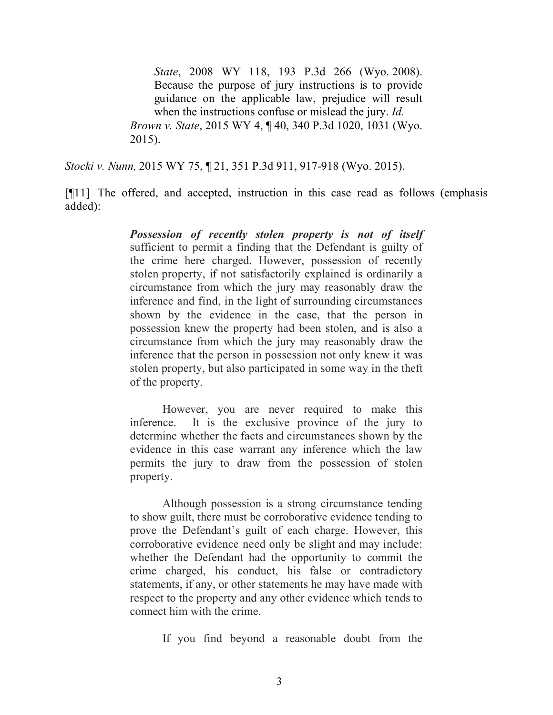*State*, 2008 WY 118, 193 P.3d 266 (Wyo. 2008). Because the purpose of jury instructions is to provide guidance on the applicable law, prejudice will result when the instructions confuse or mislead the jury. *Id. Brown v. State*, 2015 WY 4, ¶ 40, 340 P.3d 1020, 1031 (Wyo. 2015).

*Stocki v. Nunn,* 2015 WY 75, ¶ 21, 351 P.3d 911, 917-918 (Wyo. 2015).

[¶11] The offered, and accepted, instruction in this case read as follows (emphasis added):

> *Possession of recently stolen property is not of itself* sufficient to permit a finding that the Defendant is guilty of the crime here charged. However, possession of recently stolen property, if not satisfactorily explained is ordinarily a circumstance from which the jury may reasonably draw the inference and find, in the light of surrounding circumstances shown by the evidence in the case, that the person in possession knew the property had been stolen, and is also a circumstance from which the jury may reasonably draw the inference that the person in possession not only knew it was stolen property, but also participated in some way in the theft of the property.

> However, you are never required to make this inference. It is the exclusive province of the jury to determine whether the facts and circumstances shown by the evidence in this case warrant any inference which the law permits the jury to draw from the possession of stolen property.

> Although possession is a strong circumstance tending to show guilt, there must be corroborative evidence tending to prove the Defendant's guilt of each charge. However, this corroborative evidence need only be slight and may include: whether the Defendant had the opportunity to commit the crime charged, his conduct, his false or contradictory statements, if any, or other statements he may have made with respect to the property and any other evidence which tends to connect him with the crime.

> > If you find beyond a reasonable doubt from the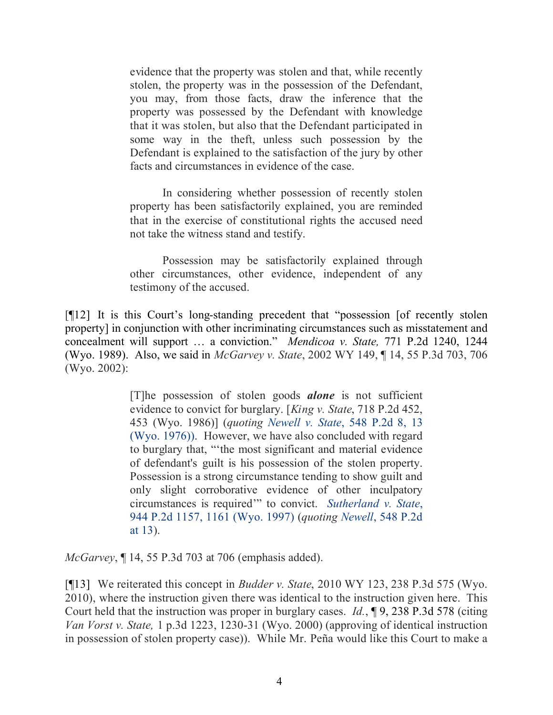evidence that the property was stolen and that, while recently stolen, the property was in the possession of the Defendant, you may, from those facts, draw the inference that the property was possessed by the Defendant with knowledge that it was stolen, but also that the Defendant participated in some way in the theft, unless such possession by the Defendant is explained to the satisfaction of the jury by other facts and circumstances in evidence of the case.

In considering whether possession of recently stolen property has been satisfactorily explained, you are reminded that in the exercise of constitutional rights the accused need not take the witness stand and testify.

Possession may be satisfactorily explained through other circumstances, other evidence, independent of any testimony of the accused.

[¶12] It is this Court's long-standing precedent that "possession [of recently stolen property] in conjunction with other incriminating circumstances such as misstatement and concealment will support … a conviction." *Mendicoa v. State,* 771 P.2d 1240, 1244 (Wyo. 1989). Also, we said in *McGarvey v. State*, 2002 WY 149, ¶ 14, 55 P.3d 703, 706 (Wyo. 2002):

> [T]he possession of stolen goods *alone* is not sufficient evidence to convict for burglary. [*King v. State*, 718 P.2d 452, 453 (Wyo. 1986)] (*quoting Newell v. State*, 548 P.2d 8, 13 (Wyo. 1976)). However, we have also concluded with regard to burglary that, "'the most significant and material evidence of defendant's guilt is his possession of the stolen property. Possession is a strong circumstance tending to show guilt and only slight corroborative evidence of other inculpatory circumstances is required'" to convict. *Sutherland v. State*, 944 P.2d 1157, 1161 (Wyo. 1997) (*quoting Newell*, 548 P.2d at 13).

*McGarvey*, ¶ 14, 55 P.3d 703 at 706 (emphasis added).

[¶13] We reiterated this concept in *Budder v. State*, 2010 WY 123, 238 P.3d 575 (Wyo. 2010), where the instruction given there was identical to the instruction given here. This Court held that the instruction was proper in burglary cases. *Id.*, ¶ 9, 238 P.3d 578 (citing *Van Vorst v. State,* 1 p.3d 1223, 1230-31 (Wyo. 2000) (approving of identical instruction in possession of stolen property case)). While Mr. Peña would like this Court to make a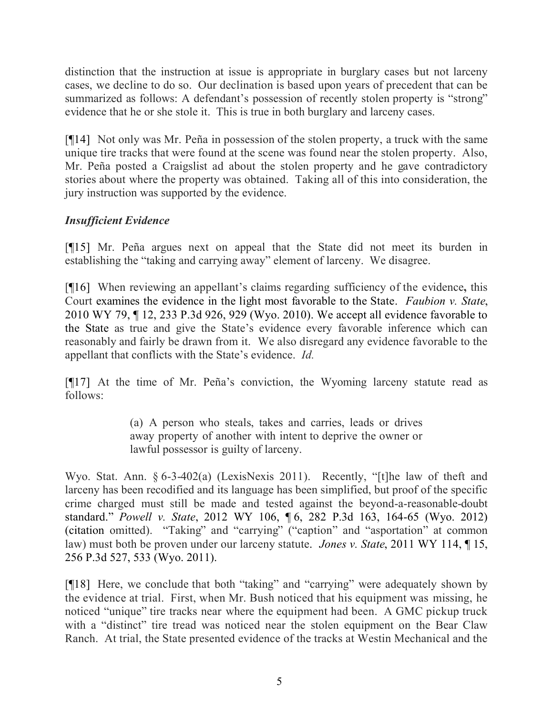distinction that the instruction at issue is appropriate in burglary cases but not larceny cases, we decline to do so. Our declination is based upon years of precedent that can be summarized as follows: A defendant's possession of recently stolen property is "strong" evidence that he or she stole it. This is true in both burglary and larceny cases.

[¶14] Not only was Mr. Peña in possession of the stolen property, a truck with the same unique tire tracks that were found at the scene was found near the stolen property. Also, Mr. Peña posted a Craigslist ad about the stolen property and he gave contradictory stories about where the property was obtained. Taking all of this into consideration, the jury instruction was supported by the evidence.

# *Insufficient Evidence*

[¶15] Mr. Peña argues next on appeal that the State did not meet its burden in establishing the "taking and carrying away" element of larceny. We disagree.

[¶16] When reviewing an appellant's claims regarding sufficiency of the evidence**,** this Court examines the evidence in the light most favorable to the State. *Faubion v. State*, 2010 WY 79, ¶ 12, 233 P.3d 926, 929 (Wyo. 2010). We accept all evidence favorable to the State as true and give the State's evidence every favorable inference which can reasonably and fairly be drawn from it. We also disregard any evidence favorable to the appellant that conflicts with the State's evidence. *Id.*

[¶17] At the time of Mr. Peña's conviction, the Wyoming larceny statute read as follows:

> (a) A person who steals, takes and carries, leads or drives away property of another with intent to deprive the owner or lawful possessor is guilty of larceny.

Wyo. Stat. Ann. § 6-3-402(a) (LexisNexis 2011). Recently, "[t]he law of theft and larceny has been recodified and its language has been simplified, but proof of the specific crime charged must still be made and tested against the beyond-a-reasonable-doubt standard." *Powell v. State*, 2012 WY 106, ¶ 6, 282 P.3d 163, 164-65 (Wyo. 2012) (citation omitted). "Taking" and "carrying" ("caption" and "asportation" at common law) must both be proven under our larceny statute. *Jones v. State*, 2011 WY 114, ¶ 15, 256 P.3d 527, 533 (Wyo. 2011).

[¶18] Here, we conclude that both "taking" and "carrying" were adequately shown by the evidence at trial. First, when Mr. Bush noticed that his equipment was missing, he noticed "unique" tire tracks near where the equipment had been. A GMC pickup truck with a "distinct" tire tread was noticed near the stolen equipment on the Bear Claw Ranch. At trial, the State presented evidence of the tracks at Westin Mechanical and the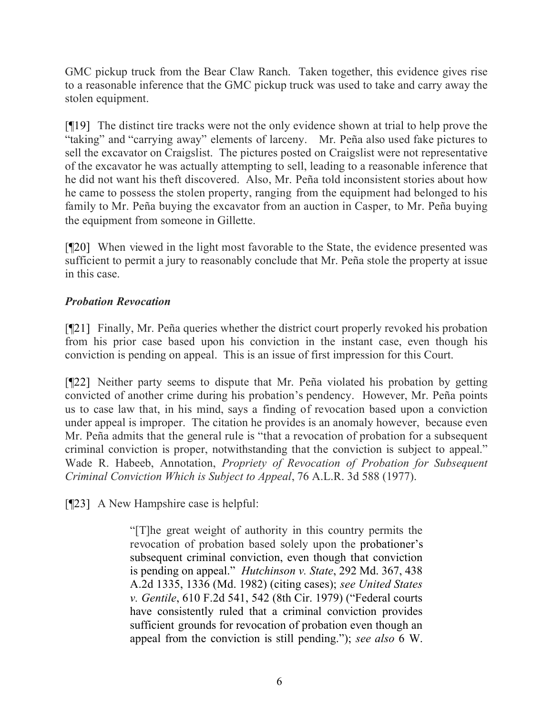GMC pickup truck from the Bear Claw Ranch. Taken together, this evidence gives rise to a reasonable inference that the GMC pickup truck was used to take and carry away the stolen equipment.

[¶19] The distinct tire tracks were not the only evidence shown at trial to help prove the "taking" and "carrying away" elements of larceny. Mr. Peña also used fake pictures to sell the excavator on Craigslist. The pictures posted on Craigslist were not representative of the excavator he was actually attempting to sell, leading to a reasonable inference that he did not want his theft discovered. Also, Mr. Peña told inconsistent stories about how he came to possess the stolen property, ranging from the equipment had belonged to his family to Mr. Peña buying the excavator from an auction in Casper, to Mr. Peña buying the equipment from someone in Gillette.

[¶20] When viewed in the light most favorable to the State, the evidence presented was sufficient to permit a jury to reasonably conclude that Mr. Peña stole the property at issue in this case.

# *Probation Revocation*

[¶21] Finally, Mr. Peña queries whether the district court properly revoked his probation from his prior case based upon his conviction in the instant case, even though his conviction is pending on appeal. This is an issue of first impression for this Court.

[¶22] Neither party seems to dispute that Mr. Peña violated his probation by getting convicted of another crime during his probation's pendency. However, Mr. Peña points us to case law that, in his mind, says a finding of revocation based upon a conviction under appeal is improper. The citation he provides is an anomaly however, because even Mr. Peña admits that the general rule is "that a revocation of probation for a subsequent criminal conviction is proper, notwithstanding that the conviction is subject to appeal." Wade R. Habeeb, Annotation, *Propriety of Revocation of Probation for Subsequent Criminal Conviction Which is Subject to Appeal*, 76 A.L.R. 3d 588 (1977).

[¶23] A New Hampshire case is helpful:

"[T]he great weight of authority in this country permits the revocation of probation based solely upon the probationer's subsequent criminal conviction, even though that conviction is pending on appeal." *Hutchinson v. State*, 292 Md. 367, 438 A.2d 1335, 1336 (Md. 1982) (citing cases); *see United States v. Gentile*, 610 F.2d 541, 542 (8th Cir. 1979) ("Federal courts have consistently ruled that a criminal conviction provides sufficient grounds for revocation of probation even though an appeal from the conviction is still pending."); *see also* 6 W.